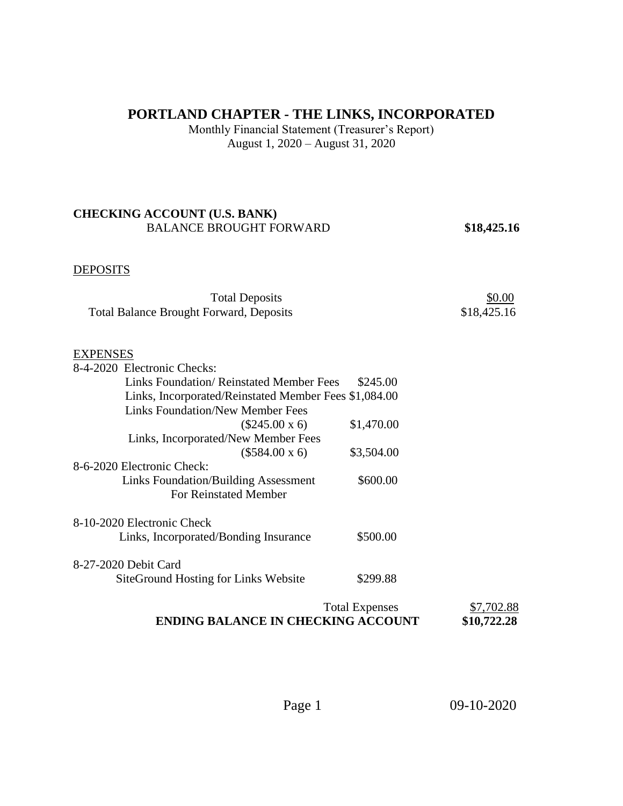## **PORTLAND CHAPTER - THE LINKS, INCORPORATED**

Monthly Financial Statement (Treasurer's Report) August 1, 2020 – August 31, 2020

### **CHECKING ACCOUNT (U.S. BANK)**  BALANCE BROUGHT FORWARD **\$18,425.16**

#### **DEPOSITS**

| <b>Total Deposits</b>                          | \$0.00      |
|------------------------------------------------|-------------|
| <b>Total Balance Brought Forward, Deposits</b> | \$18,425.16 |

#### EXPENSES

| 8-4-2020 Electronic Checks:                           |                       |         |
|-------------------------------------------------------|-----------------------|---------|
| <b>Links Foundation/ Reinstated Member Fees</b>       | \$245.00              |         |
| Links, Incorporated/Reinstated Member Fees \$1,084.00 |                       |         |
| <b>Links Foundation/New Member Fees</b>               |                       |         |
| $(\$245.00 \times 6)$                                 | \$1,470.00            |         |
| Links, Incorporated/New Member Fees                   |                       |         |
| $($584.00 \times 6)$                                  | \$3,504.00            |         |
| 8-6-2020 Electronic Check:                            |                       |         |
| <b>Links Foundation/Building Assessment</b>           | \$600.00              |         |
| <b>For Reinstated Member</b>                          |                       |         |
| 8-10-2020 Electronic Check                            |                       |         |
| Links, Incorporated/Bonding Insurance                 | \$500.00              |         |
| 8-27-2020 Debit Card                                  |                       |         |
| SiteGround Hosting for Links Website                  | \$299.88              |         |
|                                                       | <b>Total Expenses</b> | .702.88 |
|                                                       |                       |         |

# **ENDING BALANCE IN CHECKING ACCOUNT \$10,722.28**

Page 1 09-10-2020